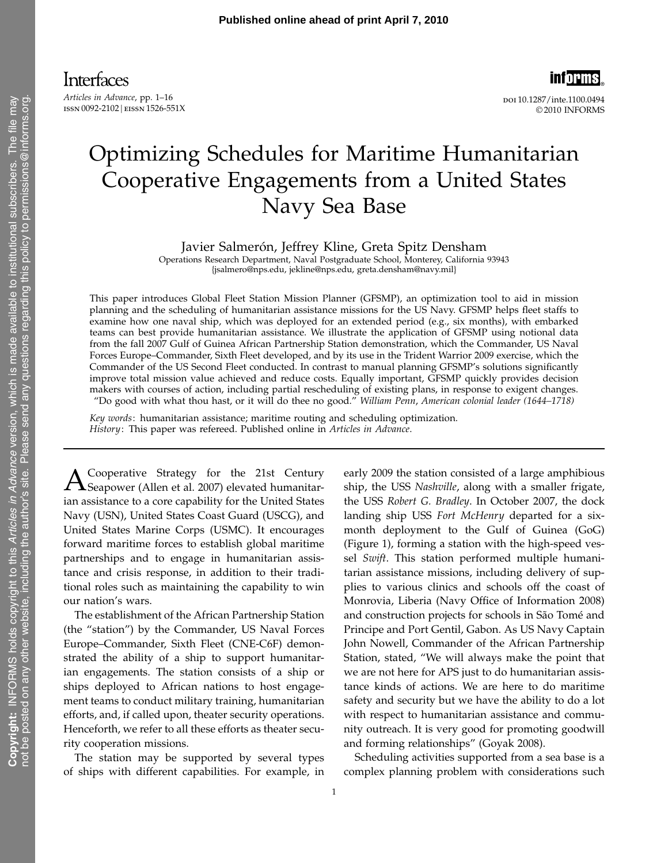**informs** 

doi 10.1287/inte.1100.0494 © 2010 INFORMS

# Optimizing Schedules for Maritime Humanitarian Cooperative Engagements from a United States Navy Sea Base

Javier Salmerón, Jeffrey Kline, Greta Spitz Densham

Operations Research Department, Naval Postgraduate School, Monterey, California 93943 {jsalmero@nps.edu, jekline@nps.edu, greta.densham@navy.mil}

This paper introduces Global Fleet Station Mission Planner (GFSMP), an optimization tool to aid in mission planning and the scheduling of humanitarian assistance missions for the US Navy. GFSMP helps fleet staffs to examine how one naval ship, which was deployed for an extended period (e.g., six months), with embarked teams can best provide humanitarian assistance. We illustrate the application of GFSMP using notional data from the fall 2007 Gulf of Guinea African Partnership Station demonstration, which the Commander, US Naval Forces Europe–Commander, Sixth Fleet developed, and by its use in the Trident Warrior 2009 exercise, which the Commander of the US Second Fleet conducted. In contrast to manual planning GFSMP's solutions significantly improve total mission value achieved and reduce costs. Equally important, GFSMP quickly provides decision makers with courses of action, including partial rescheduling of existing plans, in response to exigent changes. "Do good with what thou hast, or it will do thee no good." William Penn, American colonial leader (1644–1718)

Key words: humanitarian assistance; maritime routing and scheduling optimization. History: This paper was refereed. Published online in Articles in Advance.

A Cooperative Strategy for the 21st Century<br>Seapower (Allen et al. 2007) elevated humanitarian assistance to a core capability for the United States Navy (USN), United States Coast Guard (USCG), and United States Marine Corps (USMC). It encourages forward maritime forces to establish global maritime partnerships and to engage in humanitarian assistance and crisis response, in addition to their traditional roles such as maintaining the capability to win our nation's wars.

The establishment of the African Partnership Station (the "station") by the Commander, US Naval Forces Europe–Commander, Sixth Fleet (CNE-C6F) demonstrated the ability of a ship to support humanitarian engagements. The station consists of a ship or ships deployed to African nations to host engagement teams to conduct military training, humanitarian efforts, and, if called upon, theater security operations. Henceforth, we refer to all these efforts as theater security cooperation missions.

The station may be supported by several types of ships with different capabilities. For example, in early 2009 the station consisted of a large amphibious ship, the USS Nashville, along with a smaller frigate, the USS Robert G. Bradley. In October 2007, the dock landing ship USS Fort McHenry departed for a sixmonth deployment to the Gulf of Guinea (GoG) (Figure 1), forming a station with the high-speed vessel Swift. This station performed multiple humanitarian assistance missions, including delivery of supplies to various clinics and schools off the coast of Monrovia, Liberia (Navy Office of Information 2008) and construction projects for schools in São Tomé and Principe and Port Gentil, Gabon. As US Navy Captain John Nowell, Commander of the African Partnership Station, stated, "We will always make the point that we are not here for APS just to do humanitarian assistance kinds of actions. We are here to do maritime safety and security but we have the ability to do a lot with respect to humanitarian assistance and community outreach. It is very good for promoting goodwill and forming relationships" (Goyak 2008).

Scheduling activities supported from a sea base is a complex planning problem with considerations such

Copyright: INFORMS holds copyright to this *Articles in Advance* version, which is made available to institutional subscribers. The file may<br>not be posted on any other website, including the author's site. Please send any Copyright: INFORMS holds copyright to this Articles in Advance version, which is made available to institutional subscribers. The file may not be posted on any other website, including the author's site. Please send any questions regarding this policy to permissions@informs.org.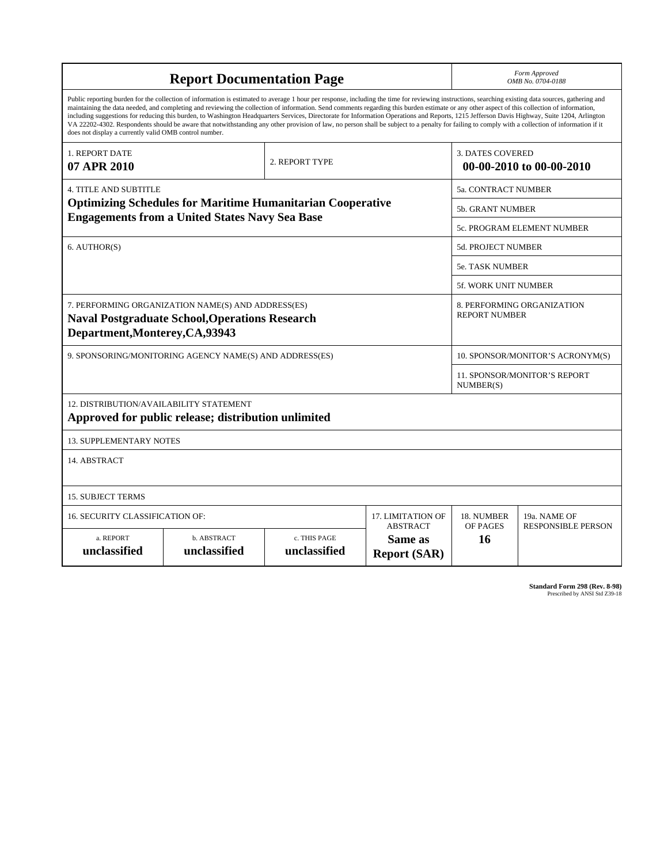| Form Approved<br><b>Report Documentation Page</b><br>OMB No. 0704-0188                                                                                                                                                                                                                                                                                                                                                                                                                                                                                                                                                                                                                                                                                                                                                                                             |                                                                                                             |                              |                                                   |                           |                                  |  |
|--------------------------------------------------------------------------------------------------------------------------------------------------------------------------------------------------------------------------------------------------------------------------------------------------------------------------------------------------------------------------------------------------------------------------------------------------------------------------------------------------------------------------------------------------------------------------------------------------------------------------------------------------------------------------------------------------------------------------------------------------------------------------------------------------------------------------------------------------------------------|-------------------------------------------------------------------------------------------------------------|------------------------------|---------------------------------------------------|---------------------------|----------------------------------|--|
| Public reporting burden for the collection of information is estimated to average 1 hour per response, including the time for reviewing instructions, searching existing data sources, gathering and<br>maintaining the data needed, and completing and reviewing the collection of information. Send comments regarding this burden estimate or any other aspect of this collection of information,<br>including suggestions for reducing this burden, to Washington Headquarters Services, Directorate for Information Operations and Reports, 1215 Jefferson Davis Highway, Suite 1204, Arlington<br>VA 22202-4302. Respondents should be aware that notwithstanding any other provision of law, no person shall be subject to a penalty for failing to comply with a collection of information if it<br>does not display a currently valid OMB control number. |                                                                                                             |                              |                                                   |                           |                                  |  |
| 1. REPORT DATE<br>07 APR 2010                                                                                                                                                                                                                                                                                                                                                                                                                                                                                                                                                                                                                                                                                                                                                                                                                                      |                                                                                                             | 2. REPORT TYPE               |                                                   | <b>3. DATES COVERED</b>   | 00-00-2010 to 00-00-2010         |  |
| <b>4. TITLE AND SUBTITLE</b>                                                                                                                                                                                                                                                                                                                                                                                                                                                                                                                                                                                                                                                                                                                                                                                                                                       |                                                                                                             |                              |                                                   | 5a. CONTRACT NUMBER       |                                  |  |
| <b>Optimizing Schedules for Maritime Humanitarian Cooperative</b>                                                                                                                                                                                                                                                                                                                                                                                                                                                                                                                                                                                                                                                                                                                                                                                                  |                                                                                                             |                              |                                                   |                           | <b>5b. GRANT NUMBER</b>          |  |
| <b>Engagements from a United States Navy Sea Base</b>                                                                                                                                                                                                                                                                                                                                                                                                                                                                                                                                                                                                                                                                                                                                                                                                              |                                                                                                             |                              |                                                   |                           | 5c. PROGRAM ELEMENT NUMBER       |  |
| 6. AUTHOR(S)                                                                                                                                                                                                                                                                                                                                                                                                                                                                                                                                                                                                                                                                                                                                                                                                                                                       |                                                                                                             |                              |                                                   | <b>5d. PROJECT NUMBER</b> |                                  |  |
|                                                                                                                                                                                                                                                                                                                                                                                                                                                                                                                                                                                                                                                                                                                                                                                                                                                                    |                                                                                                             |                              |                                                   | <b>5e. TASK NUMBER</b>    |                                  |  |
|                                                                                                                                                                                                                                                                                                                                                                                                                                                                                                                                                                                                                                                                                                                                                                                                                                                                    |                                                                                                             |                              |                                                   | 5f. WORK UNIT NUMBER      |                                  |  |
| Department, Monterey, CA, 93943                                                                                                                                                                                                                                                                                                                                                                                                                                                                                                                                                                                                                                                                                                                                                                                                                                    | 7. PERFORMING ORGANIZATION NAME(S) AND ADDRESS(ES)<br><b>Naval Postgraduate School, Operations Research</b> |                              |                                                   | <b>REPORT NUMBER</b>      | 8. PERFORMING ORGANIZATION       |  |
|                                                                                                                                                                                                                                                                                                                                                                                                                                                                                                                                                                                                                                                                                                                                                                                                                                                                    | 9. SPONSORING/MONITORING AGENCY NAME(S) AND ADDRESS(ES)                                                     |                              |                                                   |                           | 10. SPONSOR/MONITOR'S ACRONYM(S) |  |
| <b>11. SPONSOR/MONITOR'S REPORT</b><br>NUMBER(S)                                                                                                                                                                                                                                                                                                                                                                                                                                                                                                                                                                                                                                                                                                                                                                                                                   |                                                                                                             |                              |                                                   |                           |                                  |  |
| 12. DISTRIBUTION/AVAILABILITY STATEMENT<br>Approved for public release; distribution unlimited                                                                                                                                                                                                                                                                                                                                                                                                                                                                                                                                                                                                                                                                                                                                                                     |                                                                                                             |                              |                                                   |                           |                                  |  |
| <b>13. SUPPLEMENTARY NOTES</b>                                                                                                                                                                                                                                                                                                                                                                                                                                                                                                                                                                                                                                                                                                                                                                                                                                     |                                                                                                             |                              |                                                   |                           |                                  |  |
| 14. ABSTRACT                                                                                                                                                                                                                                                                                                                                                                                                                                                                                                                                                                                                                                                                                                                                                                                                                                                       |                                                                                                             |                              |                                                   |                           |                                  |  |
| <b>15. SUBJECT TERMS</b>                                                                                                                                                                                                                                                                                                                                                                                                                                                                                                                                                                                                                                                                                                                                                                                                                                           |                                                                                                             |                              |                                                   |                           |                                  |  |
| <b>16. SECURITY CLASSIFICATION OF:</b>                                                                                                                                                                                                                                                                                                                                                                                                                                                                                                                                                                                                                                                                                                                                                                                                                             |                                                                                                             |                              | <b>17. LIMITATION OF</b>                          | 18. NUMBER                | 19a. NAME OF                     |  |
| a. REPORT<br>unclassified                                                                                                                                                                                                                                                                                                                                                                                                                                                                                                                                                                                                                                                                                                                                                                                                                                          | b. ABSTRACT<br>unclassified                                                                                 | c. THIS PAGE<br>unclassified | <b>ABSTRACT</b><br>Same as<br><b>Report (SAR)</b> | OF PAGES<br>16            | <b>RESPONSIBLE PERSON</b>        |  |

**Standard Form 298 (Rev. 8-98)**<br>Prescribed by ANSI Std Z39-18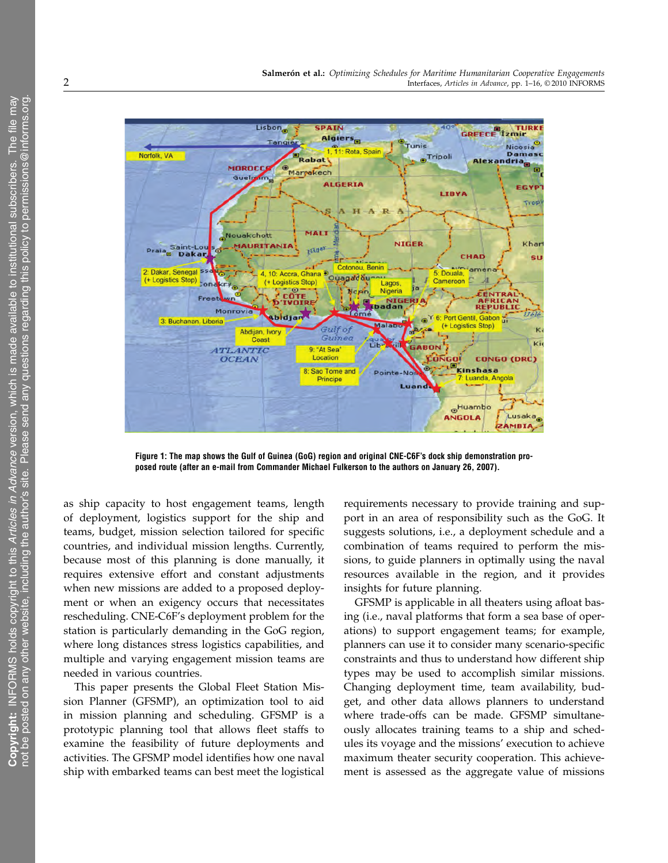

Figure 1: The map shows the Gulf of Guinea (GoG) region and original CNE-C6F's dock ship demonstration proposed route (after an e-mail from Commander Michael Fulkerson to the authors on January 26, 2007).

as ship capacity to host engagement teams, length of deployment, logistics support for the ship and teams, budget, mission selection tailored for specific countries, and individual mission lengths. Currently, because most of this planning is done manually, it requires extensive effort and constant adjustments when new missions are added to a proposed deployment or when an exigency occurs that necessitates rescheduling. CNE-C6F's deployment problem for the station is particularly demanding in the GoG region, where long distances stress logistics capabilities, and multiple and varying engagement mission teams are needed in various countries.

This paper presents the Global Fleet Station Mission Planner (GFSMP), an optimization tool to aid in mission planning and scheduling. GFSMP is a prototypic planning tool that allows fleet staffs to examine the feasibility of future deployments and activities. The GFSMP model identifies how one naval ship with embarked teams can best meet the logistical requirements necessary to provide training and support in an area of responsibility such as the GoG. It suggests solutions, i.e., a deployment schedule and a combination of teams required to perform the missions, to guide planners in optimally using the naval resources available in the region, and it provides insights for future planning.

GFSMP is applicable in all theaters using afloat basing (i.e., naval platforms that form a sea base of operations) to support engagement teams; for example, planners can use it to consider many scenario-specific constraints and thus to understand how different ship types may be used to accomplish similar missions. Changing deployment time, team availability, budget, and other data allows planners to understand where trade-offs can be made. GFSMP simultaneously allocates training teams to a ship and schedules its voyage and the missions' execution to achieve maximum theater security cooperation. This achievement is assessed as the aggregate value of missions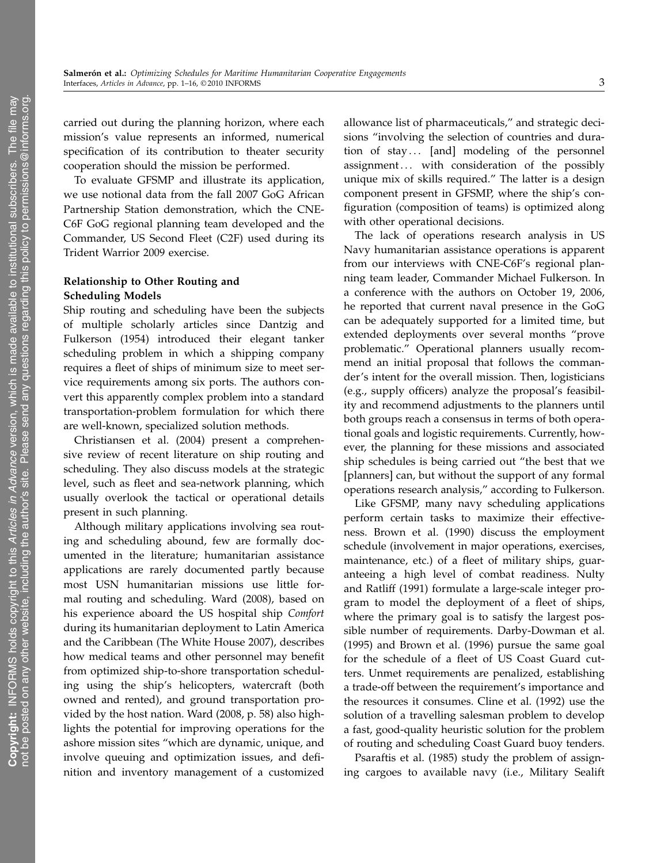carried out during the planning horizon, where each mission's value represents an informed, numerical specification of its contribution to theater security cooperation should the mission be performed.

To evaluate GFSMP and illustrate its application, we use notional data from the fall 2007 GoG African Partnership Station demonstration, which the CNE-C6F GoG regional planning team developed and the Commander, US Second Fleet (C2F) used during its Trident Warrior 2009 exercise.

## Relationship to Other Routing and Scheduling Models

Ship routing and scheduling have been the subjects of multiple scholarly articles since Dantzig and Fulkerson (1954) introduced their elegant tanker scheduling problem in which a shipping company requires a fleet of ships of minimum size to meet service requirements among six ports. The authors convert this apparently complex problem into a standard transportation-problem formulation for which there are well-known, specialized solution methods.

Christiansen et al. (2004) present a comprehensive review of recent literature on ship routing and scheduling. They also discuss models at the strategic level, such as fleet and sea-network planning, which usually overlook the tactical or operational details present in such planning.

Although military applications involving sea routing and scheduling abound, few are formally documented in the literature; humanitarian assistance applications are rarely documented partly because most USN humanitarian missions use little formal routing and scheduling. Ward (2008), based on his experience aboard the US hospital ship Comfort during its humanitarian deployment to Latin America and the Caribbean (The White House 2007), describes how medical teams and other personnel may benefit from optimized ship-to-shore transportation scheduling using the ship's helicopters, watercraft (both owned and rented), and ground transportation provided by the host nation. Ward (2008, p. 58) also highlights the potential for improving operations for the ashore mission sites "which are dynamic, unique, and involve queuing and optimization issues, and definition and inventory management of a customized

allowance list of pharmaceuticals," and strategic decisions "involving the selection of countries and duration of stay... [and] modeling of the personnel assignment... with consideration of the possibly unique mix of skills required." The latter is a design component present in GFSMP, where the ship's configuration (composition of teams) is optimized along with other operational decisions.

The lack of operations research analysis in US Navy humanitarian assistance operations is apparent from our interviews with CNE-C6F's regional planning team leader, Commander Michael Fulkerson. In a conference with the authors on October 19, 2006, he reported that current naval presence in the GoG can be adequately supported for a limited time, but extended deployments over several months "prove problematic." Operational planners usually recommend an initial proposal that follows the commander's intent for the overall mission. Then, logisticians (e.g., supply officers) analyze the proposal's feasibility and recommend adjustments to the planners until both groups reach a consensus in terms of both operational goals and logistic requirements. Currently, however, the planning for these missions and associated ship schedules is being carried out "the best that we [planners] can, but without the support of any formal operations research analysis," according to Fulkerson.

Like GFSMP, many navy scheduling applications perform certain tasks to maximize their effectiveness. Brown et al. (1990) discuss the employment schedule (involvement in major operations, exercises, maintenance, etc.) of a fleet of military ships, guaranteeing a high level of combat readiness. Nulty and Ratliff (1991) formulate a large-scale integer program to model the deployment of a fleet of ships, where the primary goal is to satisfy the largest possible number of requirements. Darby-Dowman et al. (1995) and Brown et al. (1996) pursue the same goal for the schedule of a fleet of US Coast Guard cutters. Unmet requirements are penalized, establishing a trade-off between the requirement's importance and the resources it consumes. Cline et al. (1992) use the solution of a travelling salesman problem to develop a fast, good-quality heuristic solution for the problem of routing and scheduling Coast Guard buoy tenders.

Psaraftis et al. (1985) study the problem of assigning cargoes to available navy (i.e., Military Sealift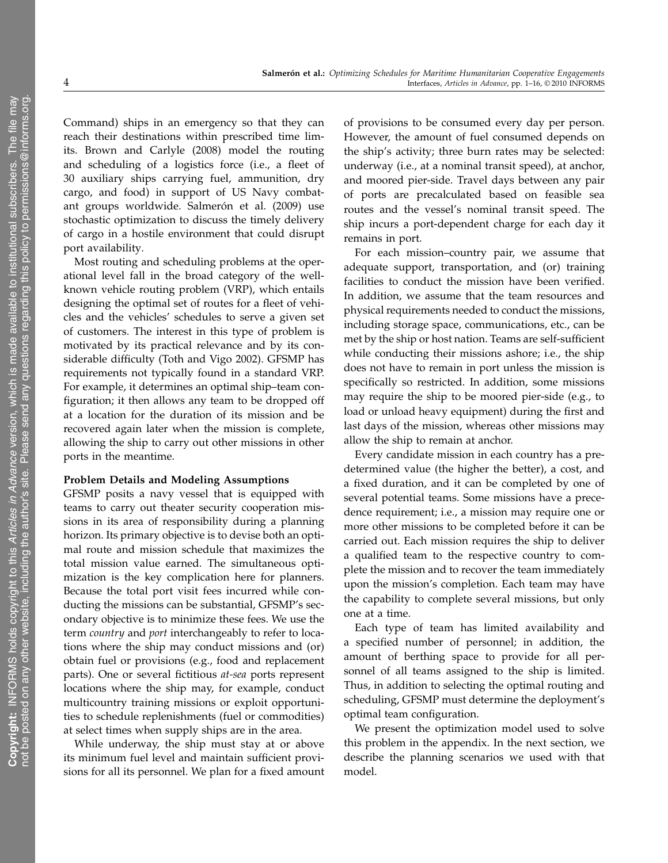Command) ships in an emergency so that they can reach their destinations within prescribed time limits. Brown and Carlyle (2008) model the routing and scheduling of a logistics force (i.e., a fleet of 30 auxiliary ships carrying fuel, ammunition, dry cargo, and food) in support of US Navy combatant groups worldwide. Salmerón et al. (2009) use stochastic optimization to discuss the timely delivery of cargo in a hostile environment that could disrupt port availability.

Most routing and scheduling problems at the operational level fall in the broad category of the wellknown vehicle routing problem (VRP), which entails designing the optimal set of routes for a fleet of vehicles and the vehicles' schedules to serve a given set of customers. The interest in this type of problem is motivated by its practical relevance and by its considerable difficulty (Toth and Vigo 2002). GFSMP has requirements not typically found in a standard VRP. For example, it determines an optimal ship–team configuration; it then allows any team to be dropped off at a location for the duration of its mission and be recovered again later when the mission is complete, allowing the ship to carry out other missions in other ports in the meantime.

#### Problem Details and Modeling Assumptions

GFSMP posits a navy vessel that is equipped with teams to carry out theater security cooperation missions in its area of responsibility during a planning horizon. Its primary objective is to devise both an optimal route and mission schedule that maximizes the total mission value earned. The simultaneous optimization is the key complication here for planners. Because the total port visit fees incurred while conducting the missions can be substantial, GFSMP's secondary objective is to minimize these fees. We use the term *country* and *port* interchangeably to refer to locations where the ship may conduct missions and (or) obtain fuel or provisions (e.g., food and replacement parts). One or several fictitious at-sea ports represent locations where the ship may, for example, conduct multicountry training missions or exploit opportunities to schedule replenishments (fuel or commodities) at select times when supply ships are in the area.

While underway, the ship must stay at or above its minimum fuel level and maintain sufficient provisions for all its personnel. We plan for a fixed amount of provisions to be consumed every day per person. However, the amount of fuel consumed depends on the ship's activity; three burn rates may be selected: underway (i.e., at a nominal transit speed), at anchor, and moored pier-side. Travel days between any pair of ports are precalculated based on feasible sea routes and the vessel's nominal transit speed. The ship incurs a port-dependent charge for each day it remains in port.

For each mission–country pair, we assume that adequate support, transportation, and (or) training facilities to conduct the mission have been verified. In addition, we assume that the team resources and physical requirements needed to conduct the missions, including storage space, communications, etc., can be met by the ship or host nation. Teams are self-sufficient while conducting their missions ashore; i.e., the ship does not have to remain in port unless the mission is specifically so restricted. In addition, some missions may require the ship to be moored pier-side (e.g., to load or unload heavy equipment) during the first and last days of the mission, whereas other missions may allow the ship to remain at anchor.

Every candidate mission in each country has a predetermined value (the higher the better), a cost, and a fixed duration, and it can be completed by one of several potential teams. Some missions have a precedence requirement; i.e., a mission may require one or more other missions to be completed before it can be carried out. Each mission requires the ship to deliver a qualified team to the respective country to complete the mission and to recover the team immediately upon the mission's completion. Each team may have the capability to complete several missions, but only one at a time.

Each type of team has limited availability and a specified number of personnel; in addition, the amount of berthing space to provide for all personnel of all teams assigned to the ship is limited. Thus, in addition to selecting the optimal routing and scheduling, GFSMP must determine the deployment's optimal team configuration.

We present the optimization model used to solve this problem in the appendix. In the next section, we describe the planning scenarios we used with that model.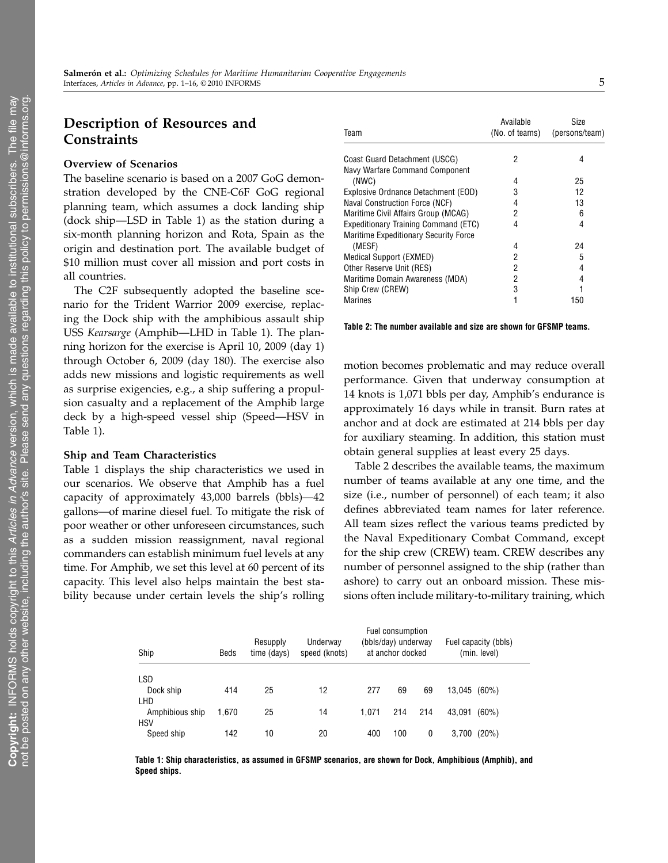# Description of Resources and **Constraints**

#### Overview of Scenarios

The baseline scenario is based on a 2007 GoG demonstration developed by the CNE-C6F GoG regional planning team, which assumes a dock landing ship (dock ship—LSD in Table 1) as the station during a six-month planning horizon and Rota, Spain as the origin and destination port. The available budget of \$10 million must cover all mission and port costs in all countries.

The C2F subsequently adopted the baseline scenario for the Trident Warrior 2009 exercise, replacing the Dock ship with the amphibious assault ship USS Kearsarge (Amphib—LHD in Table 1). The planning horizon for the exercise is April 10, 2009 (day 1) through October 6, 2009 (day 180). The exercise also adds new missions and logistic requirements as well as surprise exigencies, e.g., a ship suffering a propulsion casualty and a replacement of the Amphib large deck by a high-speed vessel ship (Speed—HSV in Table 1).

#### Ship and Team Characteristics

Table 1 displays the ship characteristics we used in our scenarios. We observe that Amphib has a fuel capacity of approximately 43,000 barrels (bbls)—42 gallons—of marine diesel fuel. To mitigate the risk of poor weather or other unforeseen circumstances, such as a sudden mission reassignment, naval regional commanders can establish minimum fuel levels at any time. For Amphib, we set this level at 60 percent of its capacity. This level also helps maintain the best stability because under certain levels the ship's rolling

| Available<br>(No. of teams) | Size<br>(persons/team) |
|-----------------------------|------------------------|
| 2                           | 4                      |
|                             |                        |
| 4                           | 25                     |
| 3                           | 12                     |
| 4                           | 13                     |
| 2                           | 6                      |
| 4                           | 4                      |
|                             |                        |
| 4                           | 24                     |
| 2                           | 5                      |
| 2                           | 4                      |
| 2                           | 4                      |
| 3                           |                        |
|                             | 150                    |
|                             |                        |

Table 2: The number available and size are shown for GFSMP teams.

motion becomes problematic and may reduce overall performance. Given that underway consumption at 14 knots is 1,071 bbls per day, Amphib's endurance is approximately 16 days while in transit. Burn rates at anchor and at dock are estimated at 214 bbls per day for auxiliary steaming. In addition, this station must obtain general supplies at least every 25 days.

Table 2 describes the available teams, the maximum number of teams available at any one time, and the size (i.e., number of personnel) of each team; it also defines abbreviated team names for later reference. All team sizes reflect the various teams predicted by the Naval Expeditionary Combat Command, except for the ship crew (CREW) team. CREW describes any number of personnel assigned to the ship (rather than ashore) to carry out an onboard mission. These missions often include military-to-military training, which

| Ship                          | Beds  | Resupply<br>time (days) | Underway<br>speed (knots) |       | Fuel consumption<br>(bbls/day) underway<br>at anchor docked |     | Fuel capacity (bbls)<br>(min. level) |  |
|-------------------------------|-------|-------------------------|---------------------------|-------|-------------------------------------------------------------|-----|--------------------------------------|--|
| <b>LSD</b>                    |       |                         |                           |       |                                                             |     |                                      |  |
| Dock ship<br>LHD              | 414   | 25                      | 12                        | 277   | 69                                                          | 69  | 13.045<br>$(60\%)$                   |  |
| Amphibious ship<br><b>HSV</b> | 1.670 | 25                      | 14                        | 1.071 | 214                                                         | 214 | 43.091<br>$(60\%)$                   |  |
| Speed ship                    | 142   | 10                      | 20                        | 400   | 100                                                         | 0   | 3,700<br>(20%)                       |  |

Table 1: Ship characteristics, as assumed in GFSMP scenarios, are shown for Dock, Amphibious (Amphib), and Speed ships.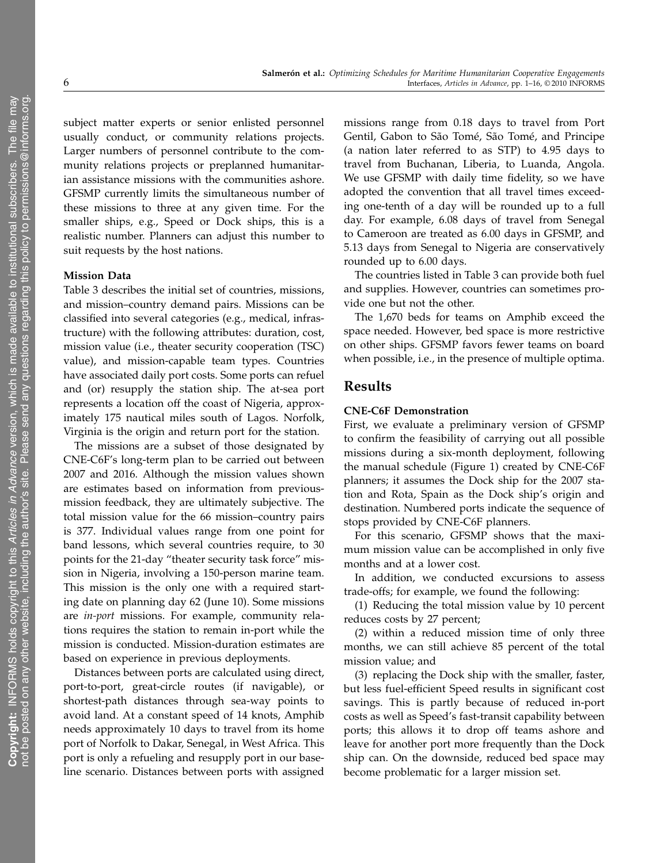subject matter experts or senior enlisted personnel usually conduct, or community relations projects. Larger numbers of personnel contribute to the community relations projects or preplanned humanitarian assistance missions with the communities ashore. GFSMP currently limits the simultaneous number of these missions to three at any given time. For the smaller ships, e.g., Speed or Dock ships, this is a realistic number. Planners can adjust this number to suit requests by the host nations.

#### Mission Data

Table 3 describes the initial set of countries, missions, and mission–country demand pairs. Missions can be classified into several categories (e.g., medical, infrastructure) with the following attributes: duration, cost, mission value (i.e., theater security cooperation (TSC) value), and mission-capable team types. Countries have associated daily port costs. Some ports can refuel and (or) resupply the station ship. The at-sea port represents a location off the coast of Nigeria, approximately 175 nautical miles south of Lagos. Norfolk, Virginia is the origin and return port for the station.

The missions are a subset of those designated by CNE-C6F's long-term plan to be carried out between 2007 and 2016. Although the mission values shown are estimates based on information from previousmission feedback, they are ultimately subjective. The total mission value for the 66 mission–country pairs is 377. Individual values range from one point for band lessons, which several countries require, to 30 points for the 21-day "theater security task force" mission in Nigeria, involving a 150-person marine team. This mission is the only one with a required starting date on planning day 62 (June 10). Some missions are in-port missions. For example, community relations requires the station to remain in-port while the mission is conducted. Mission-duration estimates are based on experience in previous deployments.

Distances between ports are calculated using direct, port-to-port, great-circle routes (if navigable), or shortest-path distances through sea-way points to avoid land. At a constant speed of 14 knots, Amphib needs approximately 10 days to travel from its home port of Norfolk to Dakar, Senegal, in West Africa. This port is only a refueling and resupply port in our baseline scenario. Distances between ports with assigned missions range from 0.18 days to travel from Port Gentil, Gabon to São Tomé, São Tomé, and Principe (a nation later referred to as STP) to 4.95 days to travel from Buchanan, Liberia, to Luanda, Angola. We use GFSMP with daily time fidelity, so we have adopted the convention that all travel times exceeding one-tenth of a day will be rounded up to a full day. For example, 6.08 days of travel from Senegal to Cameroon are treated as 6.00 days in GFSMP, and 5.13 days from Senegal to Nigeria are conservatively rounded up to 6.00 days.

The countries listed in Table 3 can provide both fuel and supplies. However, countries can sometimes provide one but not the other.

The 1,670 beds for teams on Amphib exceed the space needed. However, bed space is more restrictive on other ships. GFSMP favors fewer teams on board when possible, i.e., in the presence of multiple optima.

## Results

#### CNE-C6F Demonstration

First, we evaluate a preliminary version of GFSMP to confirm the feasibility of carrying out all possible missions during a six-month deployment, following the manual schedule (Figure 1) created by CNE-C6F planners; it assumes the Dock ship for the 2007 station and Rota, Spain as the Dock ship's origin and destination. Numbered ports indicate the sequence of stops provided by CNE-C6F planners.

For this scenario, GFSMP shows that the maximum mission value can be accomplished in only five months and at a lower cost.

In addition, we conducted excursions to assess trade-offs; for example, we found the following:

(1) Reducing the total mission value by 10 percent reduces costs by 27 percent;

(2) within a reduced mission time of only three months, we can still achieve 85 percent of the total mission value; and

(3) replacing the Dock ship with the smaller, faster, but less fuel-efficient Speed results in significant cost savings. This is partly because of reduced in-port costs as well as Speed's fast-transit capability between ports; this allows it to drop off teams ashore and leave for another port more frequently than the Dock ship can. On the downside, reduced bed space may become problematic for a larger mission set.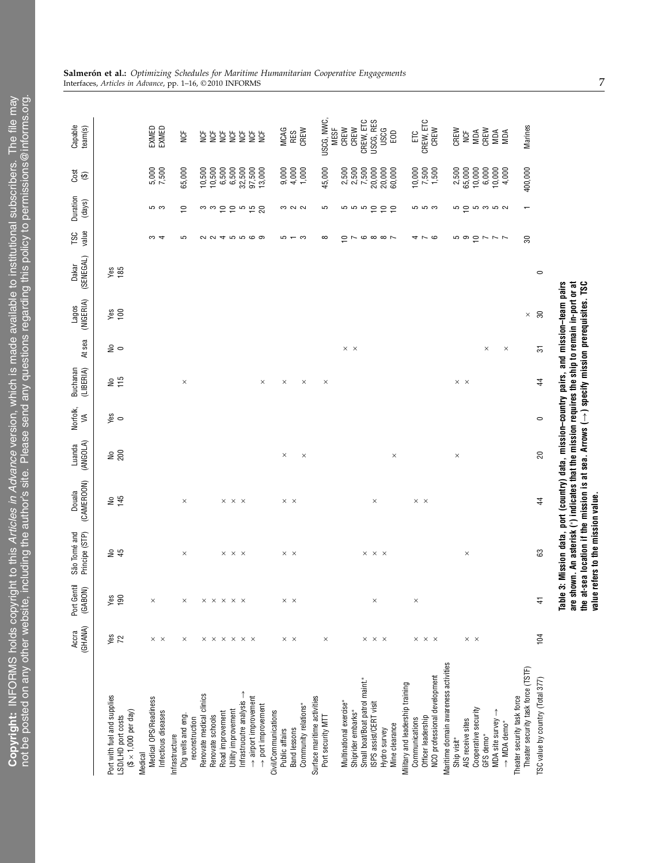|                                                                                                              | (GHANA)<br>Accra                             | Port Gentil<br>(GABON)                       | Principe (STP)<br>São Tomé and                                                                                                                                                                                                                                                                                                        | (CAMEROON)<br>Douala          | (ANGOLA)<br>Luanda | Norfolk,<br>$\leq$ | (LIBERIA)<br>Buchanan         | At sea            | (NIGERIA)<br>Lagos | (SENEGAL)<br>Dakar | value<br>TSC                                           | Duration<br>(days)       | cos t                      | Capable<br>team(s)        |
|--------------------------------------------------------------------------------------------------------------|----------------------------------------------|----------------------------------------------|---------------------------------------------------------------------------------------------------------------------------------------------------------------------------------------------------------------------------------------------------------------------------------------------------------------------------------------|-------------------------------|--------------------|--------------------|-------------------------------|-------------------|--------------------|--------------------|--------------------------------------------------------|--------------------------|----------------------------|---------------------------|
| Port with fuel and supplies<br>$(\$ \times 1,000$ per day)<br>LSD/LHD port costs                             | Yes<br>72                                    | $\frac{90}{190}$                             | $\mathrel{\mathop{\text{g}}\nolimits}$<br>45                                                                                                                                                                                                                                                                                          | 145<br>ş                      | 200                | $\frac{8}{9}$      | 115<br>å                      | ء ڇ               | $\frac{96}{68}$    | $\frac{98}{185}$   |                                                        |                          |                            |                           |
| Medical OPS/Readiness<br>Infectious diseases<br>Medical                                                      | $\times$ $\times$                            |                                              |                                                                                                                                                                                                                                                                                                                                       |                               |                    |                    |                               |                   |                    |                    | S<br>₹                                                 | տ ա                      | 5,000<br>7,500             | EXMED<br>EXMED            |
| Dig wells and eng.<br>Infrastructure                                                                         | ×                                            |                                              | $\times$                                                                                                                                                                                                                                                                                                                              | $\times$                      |                    |                    | $\times$                      |                   |                    |                    | 5                                                      | ₽                        | 65,000                     | <b>NCF</b>                |
| Renovate medical clinics<br>reconstruction                                                                   |                                              |                                              |                                                                                                                                                                                                                                                                                                                                       |                               |                    |                    |                               |                   |                    |                    |                                                        | ო ო                      | 10,500                     | NCF                       |
| Road improvement<br>Renovate schools                                                                         | $\times$ $\times$ $\times$ $\times$ $\times$ | $\times$ $\times$ $\times$ $\times$ $\times$ |                                                                                                                                                                                                                                                                                                                                       |                               |                    |                    |                               |                   |                    |                    |                                                        |                          | 10,500<br>6,500            | <b>NOF</b><br><b>SP</b>   |
| Utility improvement                                                                                          |                                              |                                              | $\times$ $\times$ $\times$                                                                                                                                                                                                                                                                                                            | $\times$ $\times$ $\times$    |                    |                    |                               |                   |                    |                    |                                                        |                          | 6,500                      | <b>SP</b><br>NCF          |
| Infrastrucutre analysis $\rightarrow$<br>$\rightarrow$ airport improvement<br>$\rightarrow$ port improvement |                                              |                                              |                                                                                                                                                                                                                                                                                                                                       |                               |                    |                    | $\times$                      |                   |                    |                    | <b>QQ45569</b>                                         | 5566<br>ສ                | 32,500<br>97,500<br>13,000 | <b>NCF</b><br><b>NOF</b>  |
| Civil/Communications<br>Public affairs                                                                       |                                              |                                              |                                                                                                                                                                                                                                                                                                                                       |                               |                    |                    |                               |                   |                    |                    |                                                        |                          | 9,000                      | <b>MCAG</b>               |
| Band lessons                                                                                                 | $\times$ $\times$                            | ×<br>$\times$                                | $\times$ $\times$                                                                                                                                                                                                                                                                                                                     | $\times$ $\times$             | $\times$           |                    | $\times$                      |                   |                    |                    | 5<br>$ \infty$                                         | <b>00 U U</b>            | 4,000                      | RES                       |
| Community relations*                                                                                         |                                              |                                              |                                                                                                                                                                                                                                                                                                                                       |                               | $\times$           |                    | $\times$                      |                   |                    |                    |                                                        |                          | 1,000                      | CREW                      |
| Surface maritime activities<br>Port security MTT                                                             | $\times$                                     |                                              |                                                                                                                                                                                                                                                                                                                                       |                               |                    |                    | $\times$                      |                   |                    |                    | ∞                                                      | 5                        | 45,000                     | USCG, NWC,<br><b>MESF</b> |
| Multinational exercise*                                                                                      |                                              |                                              |                                                                                                                                                                                                                                                                                                                                       |                               |                    |                    |                               | $\times$ $\times$ |                    |                    | $\Xi$                                                  |                          | 2,500                      | CREW                      |
| Small boat/Boat patrol maint.*<br>Shiprider embarks*                                                         |                                              |                                              |                                                                                                                                                                                                                                                                                                                                       |                               |                    |                    |                               |                   |                    |                    | $\overline{ }$                                         | 9 a a a<br>9             | 2,500<br>7,500             | CREW, ETC<br>CREW         |
| ISPS assist/CERT visit                                                                                       | $\times$ $\times$ $\times$                   |                                              | $\times$ $\times$ $\times$                                                                                                                                                                                                                                                                                                            | $\times$                      |                    |                    |                               |                   |                    |                    |                                                        |                          | 20,000                     | USCG, RES                 |
| Mine clearance<br>Hydro survey                                                                               |                                              |                                              |                                                                                                                                                                                                                                                                                                                                       |                               | $\times$           |                    |                               |                   |                    |                    | $\circ$ $\circ$ $\circ$ $\sim$                         | $\epsilon$<br>$\epsilon$ | 20,000<br>60,000           | <b>USCG</b><br>EOD        |
| Military and leadership training                                                                             |                                              |                                              |                                                                                                                                                                                                                                                                                                                                       |                               |                    |                    |                               |                   |                    |                    |                                                        |                          |                            |                           |
| Communications                                                                                               |                                              |                                              |                                                                                                                                                                                                                                                                                                                                       | $\times\hspace{0.1cm} \times$ |                    |                    |                               |                   |                    |                    |                                                        |                          | 10,000                     | EС                        |
| NCO professional development<br>Officer leadership                                                           | $\times$ $\times$ $\times$                   |                                              |                                                                                                                                                                                                                                                                                                                                       |                               |                    |                    |                               |                   |                    |                    | <i>4</i> r o                                           | ro ro co                 | 7,500<br>1,500             | CREW, ETC<br>CREW         |
| Maritime domain awareness activities                                                                         |                                              |                                              |                                                                                                                                                                                                                                                                                                                                       |                               |                    |                    |                               |                   |                    |                    |                                                        |                          |                            |                           |
| AIS receive sites<br>Ship visit*                                                                             |                                              |                                              |                                                                                                                                                                                                                                                                                                                                       |                               | $\times$           |                    | $\times\hspace{0.1cm} \times$ |                   |                    |                    |                                                        |                          | 2,500<br>65,000            | CREW<br><b>SP</b>         |
| Cooperative security                                                                                         | $\times$ $\times$                            |                                              | $\times$                                                                                                                                                                                                                                                                                                                              |                               |                    |                    |                               |                   |                    |                    |                                                        |                          | 10,000                     | MDA                       |
| GFS demo*                                                                                                    |                                              |                                              |                                                                                                                                                                                                                                                                                                                                       |                               |                    |                    |                               | $\times$          |                    |                    |                                                        |                          | 6,000                      | CREW                      |
| MDA site survey<br>$\rightarrow$ MDA demo*                                                                   |                                              |                                              |                                                                                                                                                                                                                                                                                                                                       |                               |                    |                    |                               | $\times$          |                    |                    | $\begin{array}{c} 0 & 0 \\ 0 & 0 \\ 0 & 0 \end{array}$ | ro o ro ro co            | 10,000<br>4,000            | MDA<br>MDA                |
| Theater security task force (TSTF)<br>Theater security task force                                            |                                              |                                              |                                                                                                                                                                                                                                                                                                                                       |                               |                    |                    |                               |                   | $\times$           |                    | 30                                                     | $\overline{\phantom{0}}$ | 400,000                    | Marines                   |
| [SC value by country (Total 377)                                                                             | 104                                          | 4                                            | 63                                                                                                                                                                                                                                                                                                                                    | 4                             | 20                 | $\circ$            | 4                             | 5                 | $\overline{30}$    | $\circ$            |                                                        |                          |                            |                           |
|                                                                                                              |                                              | are<br>å                                     | Table 3: Mission data, port (country) data, mission-country pairs, and mission-team pairs<br>at-sea location if the mission is at sea. Arrows $(\rightarrow)$ specify mission prerequisites. TSC<br>shown. An asterisk (*) indicates that the mission requires the ship to remain in-port or at<br>value refers to the mission value. |                               |                    |                    |                               |                   |                    |                    |                                                        |                          |                            |                           |

**Salmerón et al.:** Optimizing Schedules for Maritime Humanitarian Cooperative Engagements<br>Interfaces, Articles in Advance, pp. 1–16, ©2010 INFORMS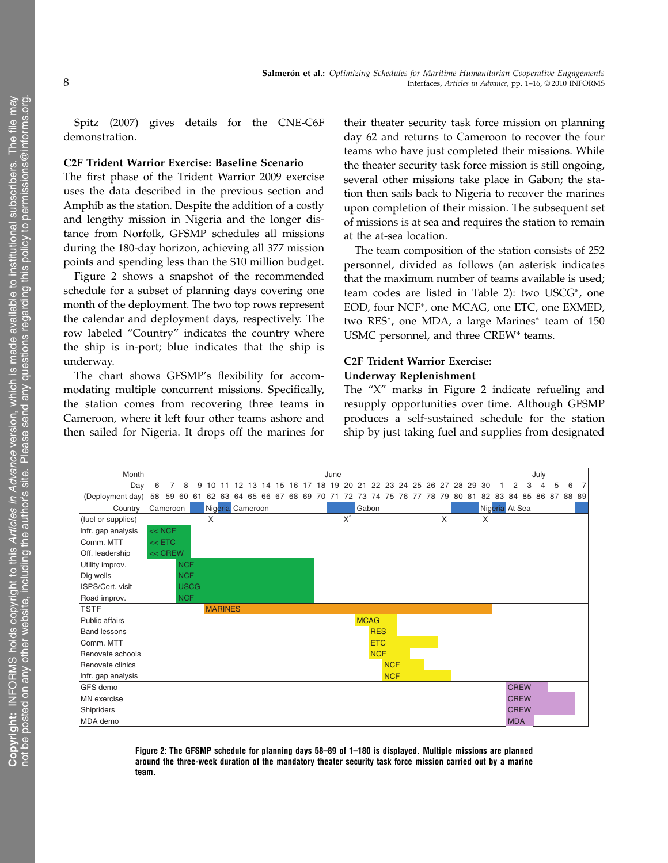Spitz (2007) gives details for the CNE-C6F demonstration.

#### C2F Trident Warrior Exercise: Baseline Scenario

The first phase of the Trident Warrior 2009 exercise uses the data described in the previous section and Amphib as the station. Despite the addition of a costly and lengthy mission in Nigeria and the longer distance from Norfolk, GFSMP schedules all missions during the 180-day horizon, achieving all 377 mission points and spending less than the \$10 million budget.

Figure 2 shows a snapshot of the recommended schedule for a subset of planning days covering one month of the deployment. The two top rows represent the calendar and deployment days, respectively. The row labeled "Country" indicates the country where the ship is in-port; blue indicates that the ship is underway.

The chart shows GFSMP's flexibility for accommodating multiple concurrent missions. Specifically, the station comes from recovering three teams in Cameroon, where it left four other teams ashore and then sailed for Nigeria. It drops off the marines for

their theater security task force mission on planning day 62 and returns to Cameroon to recover the four teams who have just completed their missions. While the theater security task force mission is still ongoing, several other missions take place in Gabon; the station then sails back to Nigeria to recover the marines upon completion of their mission. The subsequent set of missions is at sea and requires the station to remain at the at-sea location.

The team composition of the station consists of 252 personnel, divided as follows (an asterisk indicates that the maximum number of teams available is used; team codes are listed in Table 2): two USCG<sup>∗</sup>, one EOD, four NCF<sup>∗</sup>, one MCAG, one ETC, one EXMED, two RES<sup>∗</sup>, one MDA, a large Marines<sup>∗</sup> team of 150 USMC personnel, and three CREW\* teams.

#### C2F Trident Warrior Exercise: Underway Replenishment

The "X" marks in Figure 2 indicate refueling and resupply opportunities over time. Although GFSMP produces a self-sustained schedule for the station ship by just taking fuel and supplies from designated



Figure 2: The GFSMP schedule for planning days 58–89 of 1–180 is displayed. Multiple missions are planned around the three-week duration of the mandatory theater security task force mission carried out by a marine team.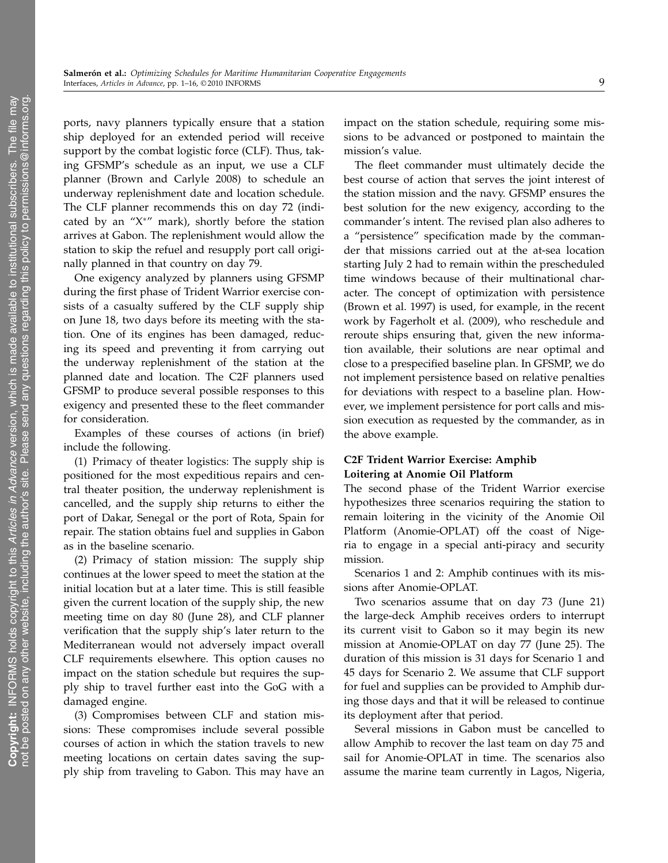ports, navy planners typically ensure that a station ship deployed for an extended period will receive support by the combat logistic force (CLF). Thus, taking GFSMP's schedule as an input, we use a CLF planner (Brown and Carlyle 2008) to schedule an underway replenishment date and location schedule. The CLF planner recommends this on day 72 (indicated by an " $X^*$ " mark), shortly before the station arrives at Gabon. The replenishment would allow the station to skip the refuel and resupply port call originally planned in that country on day 79.

One exigency analyzed by planners using GFSMP during the first phase of Trident Warrior exercise consists of a casualty suffered by the CLF supply ship on June 18, two days before its meeting with the station. One of its engines has been damaged, reducing its speed and preventing it from carrying out the underway replenishment of the station at the planned date and location. The C2F planners used GFSMP to produce several possible responses to this exigency and presented these to the fleet commander for consideration.

Examples of these courses of actions (in brief) include the following.

(1) Primacy of theater logistics: The supply ship is positioned for the most expeditious repairs and central theater position, the underway replenishment is cancelled, and the supply ship returns to either the port of Dakar, Senegal or the port of Rota, Spain for repair. The station obtains fuel and supplies in Gabon as in the baseline scenario.

(2) Primacy of station mission: The supply ship continues at the lower speed to meet the station at the initial location but at a later time. This is still feasible given the current location of the supply ship, the new meeting time on day 80 (June 28), and CLF planner verification that the supply ship's later return to the Mediterranean would not adversely impact overall CLF requirements elsewhere. This option causes no impact on the station schedule but requires the supply ship to travel further east into the GoG with a damaged engine.

(3) Compromises between CLF and station missions: These compromises include several possible courses of action in which the station travels to new meeting locations on certain dates saving the supply ship from traveling to Gabon. This may have an

impact on the station schedule, requiring some missions to be advanced or postponed to maintain the mission's value.

The fleet commander must ultimately decide the best course of action that serves the joint interest of the station mission and the navy. GFSMP ensures the best solution for the new exigency, according to the commander's intent. The revised plan also adheres to a "persistence" specification made by the commander that missions carried out at the at-sea location starting July 2 had to remain within the prescheduled time windows because of their multinational character. The concept of optimization with persistence (Brown et al. 1997) is used, for example, in the recent work by Fagerholt et al. (2009), who reschedule and reroute ships ensuring that, given the new information available, their solutions are near optimal and close to a prespecified baseline plan. In GFSMP, we do not implement persistence based on relative penalties for deviations with respect to a baseline plan. However, we implement persistence for port calls and mission execution as requested by the commander, as in the above example.

## C2F Trident Warrior Exercise: Amphib Loitering at Anomie Oil Platform

The second phase of the Trident Warrior exercise hypothesizes three scenarios requiring the station to remain loitering in the vicinity of the Anomie Oil Platform (Anomie-OPLAT) off the coast of Nigeria to engage in a special anti-piracy and security mission.

Scenarios 1 and 2: Amphib continues with its missions after Anomie-OPLAT.

Two scenarios assume that on day 73 (June 21) the large-deck Amphib receives orders to interrupt its current visit to Gabon so it may begin its new mission at Anomie-OPLAT on day 77 (June 25). The duration of this mission is 31 days for Scenario 1 and 45 days for Scenario 2. We assume that CLF support for fuel and supplies can be provided to Amphib during those days and that it will be released to continue its deployment after that period.

Several missions in Gabon must be cancelled to allow Amphib to recover the last team on day 75 and sail for Anomie-OPLAT in time. The scenarios also assume the marine team currently in Lagos, Nigeria,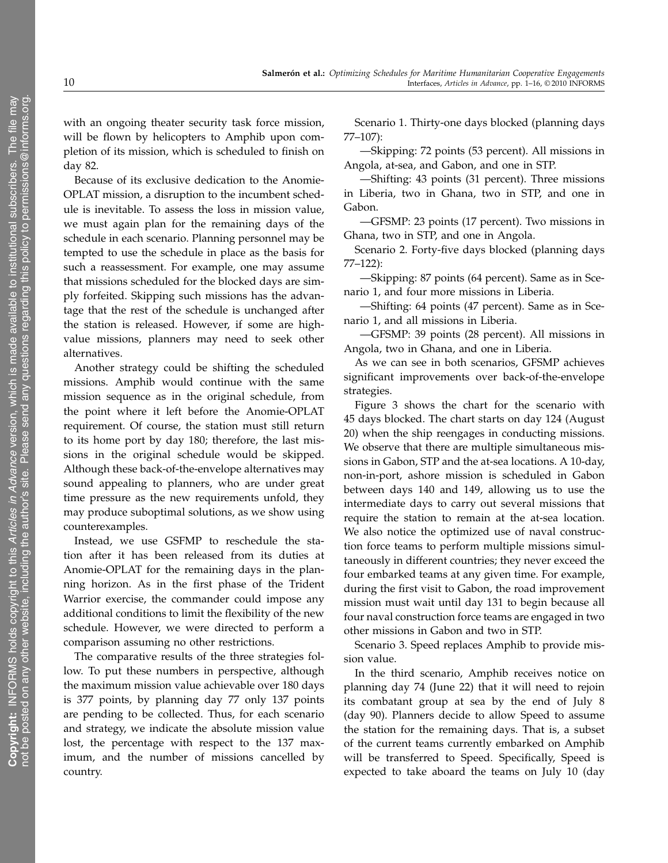with an ongoing theater security task force mission, will be flown by helicopters to Amphib upon completion of its mission, which is scheduled to finish on day 82.

Because of its exclusive dedication to the Anomie-OPLAT mission, a disruption to the incumbent schedule is inevitable. To assess the loss in mission value, we must again plan for the remaining days of the schedule in each scenario. Planning personnel may be tempted to use the schedule in place as the basis for such a reassessment. For example, one may assume that missions scheduled for the blocked days are simply forfeited. Skipping such missions has the advantage that the rest of the schedule is unchanged after the station is released. However, if some are highvalue missions, planners may need to seek other alternatives.

Another strategy could be shifting the scheduled missions. Amphib would continue with the same mission sequence as in the original schedule, from the point where it left before the Anomie-OPLAT requirement. Of course, the station must still return to its home port by day 180; therefore, the last missions in the original schedule would be skipped. Although these back-of-the-envelope alternatives may sound appealing to planners, who are under great time pressure as the new requirements unfold, they may produce suboptimal solutions, as we show using counterexamples.

Instead, we use GSFMP to reschedule the station after it has been released from its duties at Anomie-OPLAT for the remaining days in the planning horizon. As in the first phase of the Trident Warrior exercise, the commander could impose any additional conditions to limit the flexibility of the new schedule. However, we were directed to perform a comparison assuming no other restrictions.

The comparative results of the three strategies follow. To put these numbers in perspective, although the maximum mission value achievable over 180 days is 377 points, by planning day 77 only 137 points are pending to be collected. Thus, for each scenario and strategy, we indicate the absolute mission value lost, the percentage with respect to the 137 maximum, and the number of missions cancelled by country.

Scenario 1. Thirty-one days blocked (planning days 77–107):

—Skipping: 72 points (53 percent). All missions in Angola, at-sea, and Gabon, and one in STP.

—Shifting: 43 points (31 percent). Three missions in Liberia, two in Ghana, two in STP, and one in Gabon.

—GFSMP: 23 points (17 percent). Two missions in Ghana, two in STP, and one in Angola.

Scenario 2. Forty-five days blocked (planning days 77–122):

—Skipping: 87 points (64 percent). Same as in Scenario 1, and four more missions in Liberia.

—Shifting: 64 points (47 percent). Same as in Scenario 1, and all missions in Liberia.

—GFSMP: 39 points (28 percent). All missions in Angola, two in Ghana, and one in Liberia.

As we can see in both scenarios, GFSMP achieves significant improvements over back-of-the-envelope strategies.

Figure 3 shows the chart for the scenario with 45 days blocked. The chart starts on day 124 (August 20) when the ship reengages in conducting missions. We observe that there are multiple simultaneous missions in Gabon, STP and the at-sea locations. A 10-day, non-in-port, ashore mission is scheduled in Gabon between days 140 and 149, allowing us to use the intermediate days to carry out several missions that require the station to remain at the at-sea location. We also notice the optimized use of naval construction force teams to perform multiple missions simultaneously in different countries; they never exceed the four embarked teams at any given time. For example, during the first visit to Gabon, the road improvement mission must wait until day 131 to begin because all four naval construction force teams are engaged in two other missions in Gabon and two in STP.

Scenario 3. Speed replaces Amphib to provide mission value.

In the third scenario, Amphib receives notice on planning day 74 (June 22) that it will need to rejoin its combatant group at sea by the end of July 8 (day 90). Planners decide to allow Speed to assume the station for the remaining days. That is, a subset of the current teams currently embarked on Amphib will be transferred to Speed. Specifically, Speed is expected to take aboard the teams on July 10 (day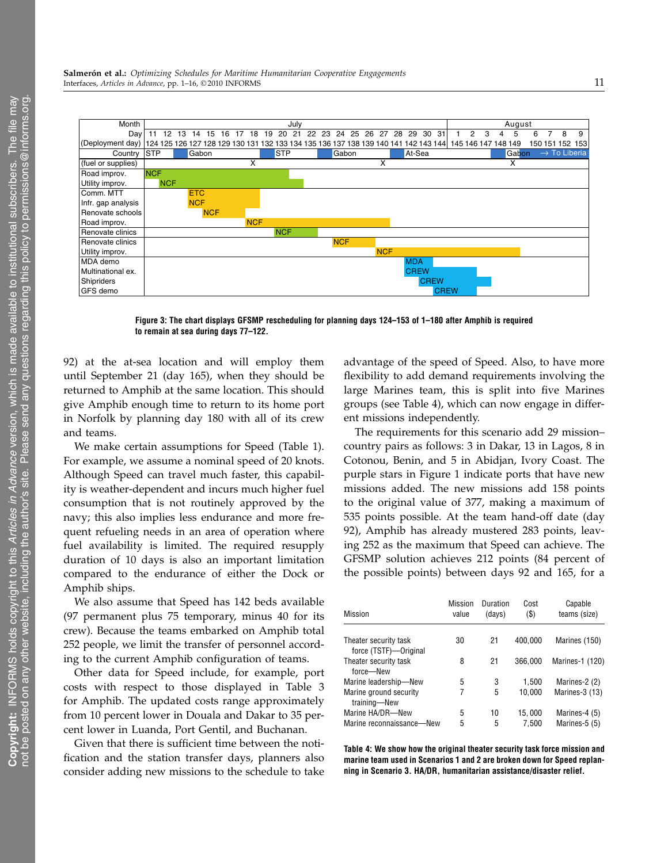

Figure 3: The chart displays GFSMP rescheduling for planning days 124–153 of 1–180 after Amphib is required to remain at sea during days 77–122.

92) at the at-sea location and will employ them until September 21 (day 165), when they should be returned to Amphib at the same location. This should give Amphib enough time to return to its home port in Norfolk by planning day 180 with all of its crew and teams.

We make certain assumptions for Speed (Table 1). For example, we assume a nominal speed of 20 knots. Although Speed can travel much faster, this capability is weather-dependent and incurs much higher fuel consumption that is not routinely approved by the navy; this also implies less endurance and more frequent refueling needs in an area of operation where fuel availability is limited. The required resupply duration of 10 days is also an important limitation compared to the endurance of either the Dock or Amphib ships.

We also assume that Speed has 142 beds available (97 permanent plus 75 temporary, minus 40 for its crew). Because the teams embarked on Amphib total 252 people, we limit the transfer of personnel according to the current Amphib configuration of teams.

Other data for Speed include, for example, port costs with respect to those displayed in Table 3 for Amphib. The updated costs range approximately from 10 percent lower in Douala and Dakar to 35 percent lower in Luanda, Port Gentil, and Buchanan.

Given that there is sufficient time between the notification and the station transfer days, planners also consider adding new missions to the schedule to take

advantage of the speed of Speed. Also, to have more flexibility to add demand requirements involving the large Marines team, this is split into five Marines groups (see Table 4), which can now engage in different missions independently.

The requirements for this scenario add 29 mission– country pairs as follows: 3 in Dakar, 13 in Lagos, 8 in Cotonou, Benin, and 5 in Abidjan, Ivory Coast. The purple stars in Figure 1 indicate ports that have new missions added. The new missions add 158 points to the original value of 377, making a maximum of 535 points possible. At the team hand-off date (day 92), Amphib has already mustered 283 points, leaving 252 as the maximum that Speed can achieve. The GFSMP solution achieves 212 points (84 percent of the possible points) between days 92 and 165, for a

| <b>Mission</b>                                 | <b>Mission</b><br>value | Duration<br>(days) | Cost<br>$($ \$) | Capable<br>teams (size) |
|------------------------------------------------|-------------------------|--------------------|-----------------|-------------------------|
| Theater security task<br>force (TSTF)-Original | 30                      | 21                 | 400.000         | Marines (150)           |
| Theater security task<br>force-New             | 8                       | 21                 | 366.000         | Marines-1 (120)         |
| Marine leadership-New                          | 5                       | 3                  | 1,500           | Marines-2 (2)           |
| Marine ground security<br>training-New         | 7                       | 5                  | 10,000          | Marines-3 (13)          |
| Marine HA/DR-New                               | 5                       | 10                 | 15,000          | Marines-4 (5)           |
| Marine reconnaissance-New                      | 5                       | 5                  | 7.500           | Marines-5 (5)           |

Table 4: We show how the original theater security task force mission and marine team used in Scenarios 1 and 2 are broken down for Speed replanning in Scenario 3. HA/DR, humanitarian assistance/disaster relief.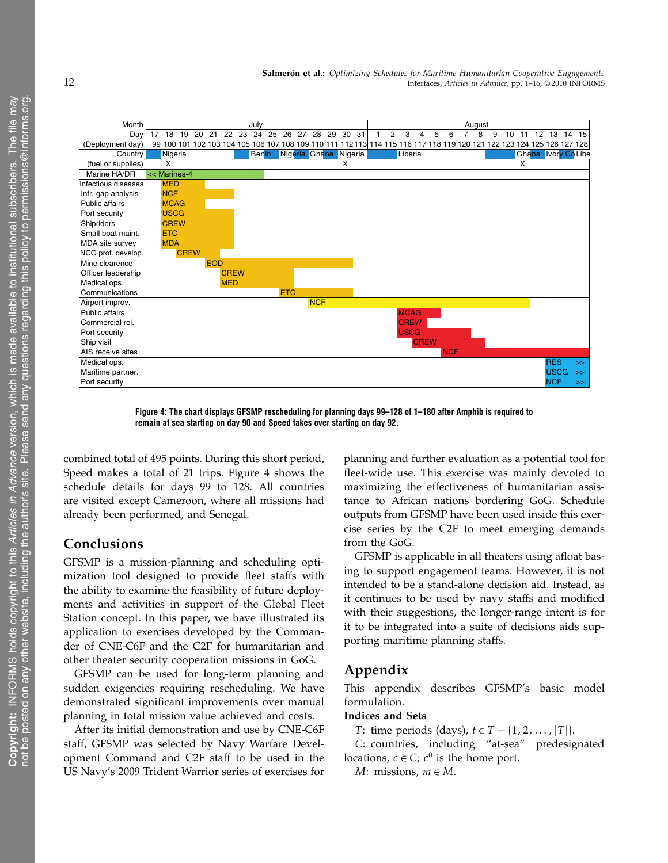

Figure 4: The chart displays GFSMP rescheduling for planning days 99–128 of 1–180 after Amphib is required to remain at sea starting on day 90 and Speed takes over starting on day 92.

combined total of 495 points. During this short period, Speed makes a total of 21 trips. Figure 4 shows the schedule details for days 99 to 128. All countries are visited except Cameroon, where all missions had already been performed, and Senegal.

## Conclusions

GFSMP is a mission-planning and scheduling optimization tool designed to provide fleet staffs with the ability to examine the feasibility of future deployments and activities in support of the Global Fleet Station concept. In this paper, we have illustrated its application to exercises developed by the Commander of CNE-C6F and the C2F for humanitarian and other theater security cooperation missions in GoG.

GFSMP can be used for long-term planning and sudden exigencies requiring rescheduling. We have demonstrated significant improvements over manual planning in total mission value achieved and costs.

After its initial demonstration and use by CNE-C6F staff, GFSMP was selected by Navy Warfare Development Command and C2F staff to be used in the US Navy's 2009 Trident Warrior series of exercises for

planning and further evaluation as a potential tool for fleet-wide use. This exercise was mainly devoted to maximizing the effectiveness of humanitarian assistance to African nations bordering GoG. Schedule outputs from GFSMP have been used inside this exercise series by the C2F to meet emerging demands from the GoG.

GFSMP is applicable in all theaters using afloat basing to support engagement teams. However, it is not intended to be a stand-alone decision aid. Instead, as it continues to be used by navy staffs and modified with their suggestions, the longer-range intent is for it to be integrated into a suite of decisions aids supporting maritime planning staffs.

# Appendix

This appendix describes GFSMP's basic model formulation.

### Indices and Sets

*T*: time periods (days),  $t \in T = \{1, 2, ..., |T|\}.$ 

C: countries, including "at-sea" predesignated locations,  $c \in C$ ;  $c^0$  is the home port.

M: missions,  $m \in M$ .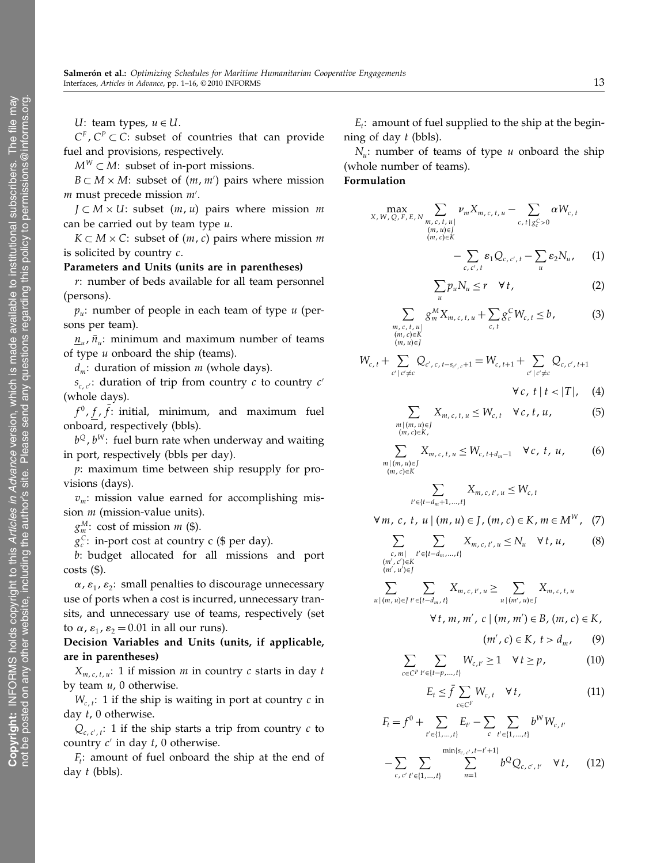U: team types,  $u \in U$ .

 $C^F$ ,  $C^P \subset C$ : subset of countries that can provide fuel and provisions, respectively.

 $M^W \subset M$ : subset of in-port missions.

 $B \subset M \times M$ : subset of  $(m, m')$  pairs where mission m must precede mission  $m'$ .

 $J \subset M \times U$ : subset  $(m, u)$  pairs where mission m can be carried out by team type  $u$ .

 $K \subset M \times C$ : subset of  $(m, c)$  pairs where mission m is solicited by country c.

Parameters and Units (units are in parentheses)

r: number of beds available for all team personnel (persons).

 $p_u$ : number of people in each team of type u (persons per team).

 $n_{\mu}$ ,  $\bar{n}_{\mu}$ : minimum and maximum number of teams of type  $u$  onboard the ship (teams).

 $d_m$ : duration of mission *m* (whole days).

 $s_{c,c'}$ : duration of trip from country c to country c' (whole days).

 $f^0$ , f, f: initial, minimum, and maximum fuel onboard, respectively (bbls).

 $b^{\mathcal{Q}}$ ,  $b^W$ : fuel burn rate when underway and waiting in port, respectively (bbls per day).

p: maximum time between ship resupply for provisions (days).

 $v_m$ : mission value earned for accomplishing mission *m* (mission-value units).

 $g_m^M$ : cost of mission *m* (\$).

 $g_c^C$ : in-port cost at country c (\$ per day).

b: budget allocated for all missions and port  $costs$  (\$).

 $\alpha$ ,  $\varepsilon_1$ ,  $\varepsilon_2$ : small penalties to discourage unnecessary use of ports when a cost is incurred, unnecessary transits, and unnecessary use of teams, respectively (set to  $\alpha$ ,  $\varepsilon_1$ ,  $\varepsilon_2 = 0.01$  in all our runs).

Decision Variables and Units (units, if applicable, are in parentheses)

 $X_{m,c,t,u}:$  1 if mission *m* in country *c* starts in day *t* by team  $u$ , 0 otherwise.

 $W_{c,t}$ : 1 if the ship is waiting in port at country c in day t, 0 otherwise.

 $Q_{c,c',t}$ : 1 if the ship starts a trip from country c to country  $c'$  in day  $t$ , 0 otherwise.

 $F_t$ : amount of fuel onboard the ship at the end of day t (bbls).

 $E_t$ : amount of fuel supplied to the ship at the beginning of day  $t$  (bbls).

 $N_u$ : number of teams of type u onboard the ship (whole number of teams).

Formulation

$$
\max_{X, W, Q, F, E, N} \sum_{\substack{m, c, t, u \ (m, u) \in J}} \nu_m X_{m, c, t, u} - \sum_{c, t \mid g_c^C > 0} \alpha W_{c, t}
$$
\n
$$
\sum_{\substack{(m, u) \in J \\ m, c \in K}} \alpha W_{c, t}
$$

$$
-\sum_{c,c',t}\varepsilon_1 Q_{c,c',t}-\sum_u\varepsilon_2 N_u,\qquad (1)
$$

$$
\sum_{u} p_{u} N_{u} \leq r \quad \forall t,
$$
\n(2)

$$
\sum_{\substack{m, c, t, u \mid m, c \in \mathcal{K} \\ (m, c) \in \mathcal{K} \\ (m, u) \in J}} g_m^M X_{m, c, t, u} + \sum_{c, t} g_c^C W_{c, t} \le b,
$$
 (3)

$$
W_{c,t} + \sum_{c' \mid c' \neq c} Q_{c',c,t-s_{c',c}+1} = W_{c,t+1} + \sum_{c' \mid c' \neq c} Q_{c,c',t+1}
$$
  

$$
\forall c, t \mid t < |T|, (4)
$$

$$
X_{m,c,t,u} \leq W_{c,t} \quad \forall c,t,u,
$$
 (5)

$$
(m, u) \in J
$$
  
i, c) \in K,

$$
\sum_{\substack{m \mid (m, u) \in J \\ (m, c) \in K}} X_{m, c, t, u} \le W_{c, t + d_m - 1} \quad \forall c, t, u,
$$
 (6)

$$
\sum_{t' \in \{t - d_m + 1, ..., t\}} X_{m, c, t', u} \le W_{c, t}
$$

 $\forall m, c, t, u \mid (m, u) \in J, (m, c) \in K, m \in M^W$ , (7)

$$
\sum_{\substack{c,m|\\ \langle c',c\rangle\in K}} \sum_{t'\in\{t-d_m,\ldots,t\}} X_{m,\,c,\,t',\,u} \le N_u \quad \forall \, t,\,u,\qquad (8)
$$

 $(m', c'$ (m′, c′)∈K<br>(m′, u′)∈J

 $\sum$  $m \mid$ 

 $(m.$ 

$$
\sum_{u|(m,u)\in J} \sum_{t'\in\{t-d_m,t\}} X_{m,c,t',u} \geq \sum_{u|(m',u)\in J} X_{m,c,t,u}
$$

$$
\forall t, m, m', c \mid (m, m') \in B, (m, c) \in K,
$$

$$
(m',c)\in K,\ t>d_m,\qquad (9)
$$

$$
\sum_{c \in C^P} \sum_{t' \in \{t-p,\dots,t\}} W_{c,t'} \ge 1 \quad \forall \, t \ge p, \tag{10}
$$

$$
E_t \le \bar{f} \sum_{c \in C^F} W_{c,t} \quad \forall \, t,
$$
\n<sup>(11)</sup>

$$
F_{t} = f^{0} + \sum_{t' \in \{1, \ldots, t\}} E_{t'} - \sum_{c} \sum_{t' \in \{1, \ldots, t\}} b^{W} W_{c, t'}
$$

$$
- \sum_{c, c' \ t' \in \{1, \ldots, t\}} \sum_{n=1}^{\min\{s_{c, c', t} - t' + 1\}} b^{Q} Q_{c, c', t'} \quad \forall t, \qquad (12)
$$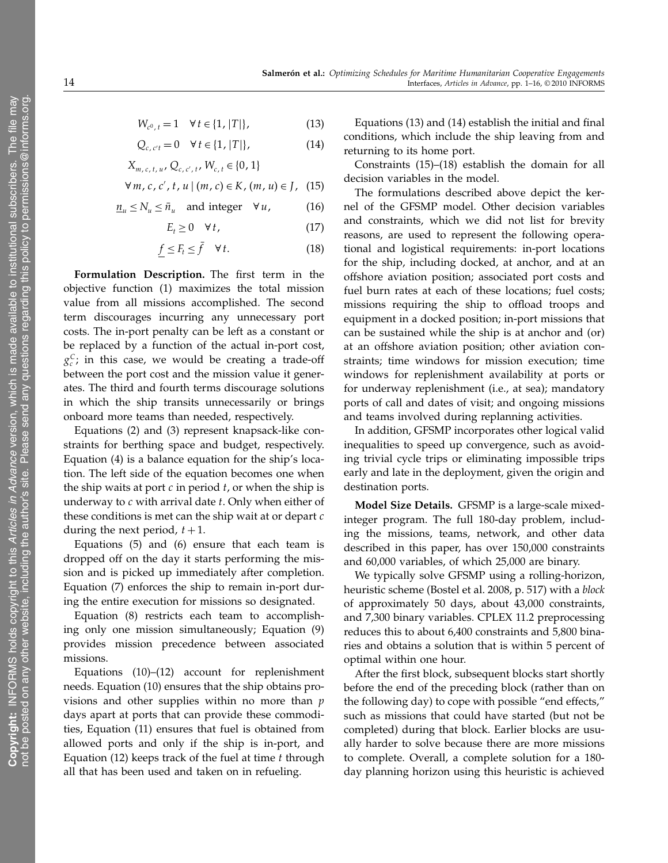$$
W_{c^0, t} = 1 \quad \forall \, t \in \{1, |T|\},\tag{13}
$$

$$
Q_{c,c't} = 0 \quad \forall \, t \in \{1, |T|\},\tag{14}
$$

$$
X_{m,c,t,u}, Q_{c,c',t}, W_{c,t} \in \{0, 1\}
$$

$$
\forall m, c, c', t, u \mid (m, c) \in K, (m, u) \in J, (15)
$$

$$
\underline{n}_u \le N_u \le \bar{n}_u \quad \text{and integer} \quad \forall u,
$$
 (16)

$$
E_t \ge 0 \quad \forall \, t,\tag{17}
$$

$$
\underline{f} \le F_t \le \bar{f} \quad \forall t. \tag{18}
$$

Formulation Description. The first term in the objective function (1) maximizes the total mission value from all missions accomplished. The second term discourages incurring any unnecessary port costs. The in-port penalty can be left as a constant or be replaced by a function of the actual in-port cost,  $g_c^C$ ; in this case, we would be creating a trade-off between the port cost and the mission value it generates. The third and fourth terms discourage solutions in which the ship transits unnecessarily or brings onboard more teams than needed, respectively.

Equations (2) and (3) represent knapsack-like constraints for berthing space and budget, respectively. Equation (4) is a balance equation for the ship's location. The left side of the equation becomes one when the ship waits at port  $c$  in period  $t$ , or when the ship is underway to  $c$  with arrival date  $t$ . Only when either of these conditions is met can the ship wait at or depart  $c$ during the next period,  $t + 1$ .

Equations (5) and (6) ensure that each team is dropped off on the day it starts performing the mission and is picked up immediately after completion. Equation (7) enforces the ship to remain in-port during the entire execution for missions so designated.

Equation (8) restricts each team to accomplishing only one mission simultaneously; Equation (9) provides mission precedence between associated missions.

Equations (10)–(12) account for replenishment needs. Equation (10) ensures that the ship obtains provisions and other supplies within no more than  $p$ days apart at ports that can provide these commodities, Equation (11) ensures that fuel is obtained from allowed ports and only if the ship is in-port, and Equation (12) keeps track of the fuel at time  $t$  through all that has been used and taken on in refueling.

Equations (13) and (14) establish the initial and final conditions, which include the ship leaving from and returning to its home port.

Constraints (15)–(18) establish the domain for all decision variables in the model.

The formulations described above depict the kernel of the GFSMP model. Other decision variables and constraints, which we did not list for brevity reasons, are used to represent the following operational and logistical requirements: in-port locations for the ship, including docked, at anchor, and at an offshore aviation position; associated port costs and fuel burn rates at each of these locations; fuel costs; missions requiring the ship to offload troops and equipment in a docked position; in-port missions that can be sustained while the ship is at anchor and (or) at an offshore aviation position; other aviation constraints; time windows for mission execution; time windows for replenishment availability at ports or for underway replenishment (i.e., at sea); mandatory ports of call and dates of visit; and ongoing missions and teams involved during replanning activities.

In addition, GFSMP incorporates other logical valid inequalities to speed up convergence, such as avoiding trivial cycle trips or eliminating impossible trips early and late in the deployment, given the origin and destination ports.

Model Size Details. GFSMP is a large-scale mixedinteger program. The full 180-day problem, including the missions, teams, network, and other data described in this paper, has over 150,000 constraints and 60,000 variables, of which 25,000 are binary.

We typically solve GFSMP using a rolling-horizon, heuristic scheme (Bostel et al. 2008, p. 517) with a block of approximately 50 days, about 43,000 constraints, and 7,300 binary variables. CPLEX 11.2 preprocessing reduces this to about 6,400 constraints and 5,800 binaries and obtains a solution that is within 5 percent of optimal within one hour.

After the first block, subsequent blocks start shortly before the end of the preceding block (rather than on the following day) to cope with possible "end effects," such as missions that could have started (but not be completed) during that block. Earlier blocks are usually harder to solve because there are more missions to complete. Overall, a complete solution for a 180 day planning horizon using this heuristic is achieved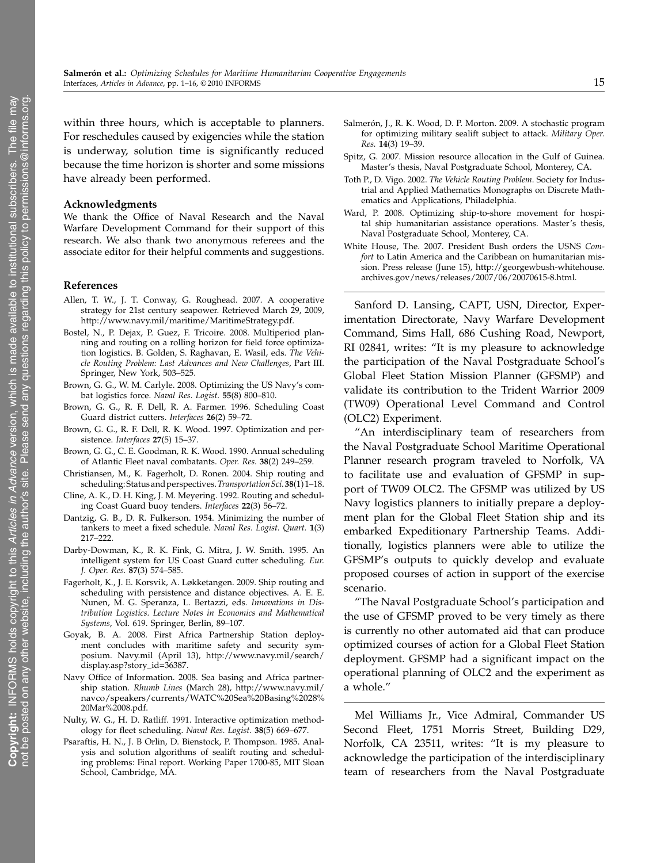within three hours, which is acceptable to planners. For reschedules caused by exigencies while the station is underway, solution time is significantly reduced because the time horizon is shorter and some missions have already been performed.

#### Acknowledgments

We thank the Office of Naval Research and the Naval Warfare Development Command for their support of this research. We also thank two anonymous referees and the associate editor for their helpful comments and suggestions.

#### References

- Allen, T. W., J. T. Conway, G. Roughead. 2007. A cooperative strategy for 21st century seapower. Retrieved March 29, 2009, http://www.navy.mil/maritime/MaritimeStrategy.pdf.
- Bostel, N., P. Dejax, P. Guez, F. Tricoire. 2008. Multiperiod planning and routing on a rolling horizon for field force optimization logistics. B. Golden, S. Raghavan, E. Wasil, eds. The Vehicle Routing Problem: Last Advances and New Challenges, Part III. Springer, New York, 503–525.
- Brown, G. G., W. M. Carlyle. 2008. Optimizing the US Navy's combat logistics force. Naval Res. Logist. 55(8) 800–810.
- Brown, G. G., R. F. Dell, R. A. Farmer. 1996. Scheduling Coast Guard district cutters. Interfaces 26(2) 59–72.
- Brown, G. G., R. F. Dell, R. K. Wood. 1997. Optimization and persistence. Interfaces 27(5) 15–37.
- Brown, G. G., C. E. Goodman, R. K. Wood. 1990. Annual scheduling of Atlantic Fleet naval combatants. Oper. Res. 38(2) 249–259.
- Christiansen, M., K. Fagerholt, D. Ronen. 2004. Ship routing and scheduling: Status and perspectives. Transportation Sci. 38(1) 1-18.
- Cline, A. K., D. H. King, J. M. Meyering. 1992. Routing and scheduling Coast Guard buoy tenders. Interfaces 22(3) 56–72.
- Dantzig, G. B., D. R. Fulkerson. 1954. Minimizing the number of tankers to meet a fixed schedule. Naval Res. Logist. Quart. 1(3) 217–222.
- Darby-Dowman, K., R. K. Fink, G. Mitra, J. W. Smith. 1995. An intelligent system for US Coast Guard cutter scheduling. Eur. J. Oper. Res. 87(3) 574–585.
- Fagerholt, K., J. E. Korsvik, A. Løkketangen. 2009. Ship routing and scheduling with persistence and distance objectives. A. E. E. Nunen, M. G. Speranza, L. Bertazzi, eds. Innovations in Distribution Logistics. Lecture Notes in Economics and Mathematical Systems, Vol. 619. Springer, Berlin, 89–107.
- Goyak, B. A. 2008. First Africa Partnership Station deployment concludes with maritime safety and security symposium. Navy.mil (April 13), http://www.navy.mil/search/ display.asp?story\_id=36387.
- Navy Office of Information. 2008. Sea basing and Africa partnership station. Rhumb Lines (March 28), http://www.navy.mil/ navco/speakers/currents/WATC%20Sea%20Basing%2028% 20Mar%2008.pdf.
- Nulty, W. G., H. D. Ratliff. 1991. Interactive optimization methodology for fleet scheduling. Naval Res. Logist. 38(5) 669–677.
- Psaraftis, H. N., J. B Orlin, D. Bienstock, P. Thompson. 1985. Analysis and solution algorithms of sealift routing and scheduling problems: Final report. Working Paper 1700-85, MIT Sloan School, Cambridge, MA.
- Salmerón, J., R. K. Wood, D. P. Morton. 2009. A stochastic program for optimizing military sealift subject to attack. Military Oper. Res. 14(3) 19–39.
- Spitz, G. 2007. Mission resource allocation in the Gulf of Guinea. Master's thesis, Naval Postgraduate School, Monterey, CA.
- Toth P., D. Vigo. 2002. The Vehicle Routing Problem. Society for Industrial and Applied Mathematics Monographs on Discrete Mathematics and Applications, Philadelphia.
- Ward, P. 2008. Optimizing ship-to-shore movement for hospital ship humanitarian assistance operations. Master's thesis, Naval Postgraduate School, Monterey, CA.
- White House, The. 2007. President Bush orders the USNS Comfort to Latin America and the Caribbean on humanitarian mission. Press release (June 15), http://georgewbush-whitehouse. archives.gov/news/releases/2007/06/20070615-8.html.

Sanford D. Lansing, CAPT, USN, Director, Experimentation Directorate, Navy Warfare Development Command, Sims Hall, 686 Cushing Road, Newport, RI 02841, writes: "It is my pleasure to acknowledge the participation of the Naval Postgraduate School's Global Fleet Station Mission Planner (GFSMP) and validate its contribution to the Trident Warrior 2009 (TW09) Operational Level Command and Control (OLC2) Experiment.

"An interdisciplinary team of researchers from the Naval Postgraduate School Maritime Operational Planner research program traveled to Norfolk, VA to facilitate use and evaluation of GFSMP in support of TW09 OLC2. The GFSMP was utilized by US Navy logistics planners to initially prepare a deployment plan for the Global Fleet Station ship and its embarked Expeditionary Partnership Teams. Additionally, logistics planners were able to utilize the GFSMP's outputs to quickly develop and evaluate proposed courses of action in support of the exercise scenario.

"The Naval Postgraduate School's participation and the use of GFSMP proved to be very timely as there is currently no other automated aid that can produce optimized courses of action for a Global Fleet Station deployment. GFSMP had a significant impact on the operational planning of OLC2 and the experiment as a whole."

Mel Williams Jr., Vice Admiral, Commander US Second Fleet, 1751 Morris Street, Building D29, Norfolk, CA 23511, writes: "It is my pleasure to acknowledge the participation of the interdisciplinary team of researchers from the Naval Postgraduate